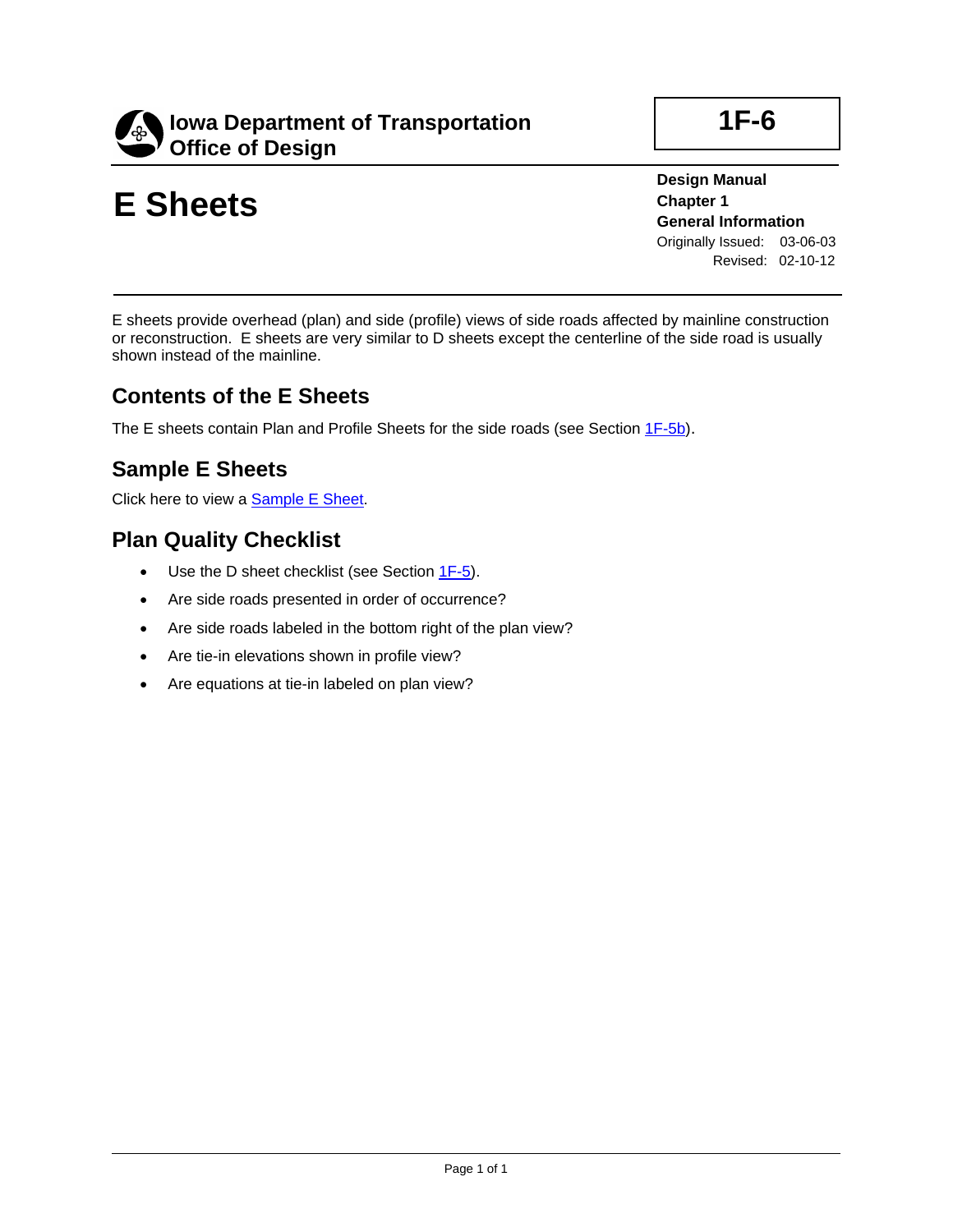

# **E Sheets**

**Design Manual Chapter 1 General Information** Originally Issued: 03-06-03 Revised: 02-10-12

E sheets provide overhead (plan) and side (profile) views of side roads affected by mainline construction or reconstruction. E sheets are very similar to D sheets except the centerline of the side road is usually shown instead of the mainline.

### **Contents of the E Sheets**

The E sheets contain Plan and Profile Sheets for the side roads (see Section 1F-5b).

## **Sample E Sheets**

Click here to view a Sample E Sheet.

### **Plan Quality Checklist**

- Use the D sheet checklist (see Section 1F-5).
- Are side roads presented in order of occurrence?
- Are side roads labeled in the bottom right of the plan view?
- Are tie-in elevations shown in profile view?
- Are equations at tie-in labeled on plan view?